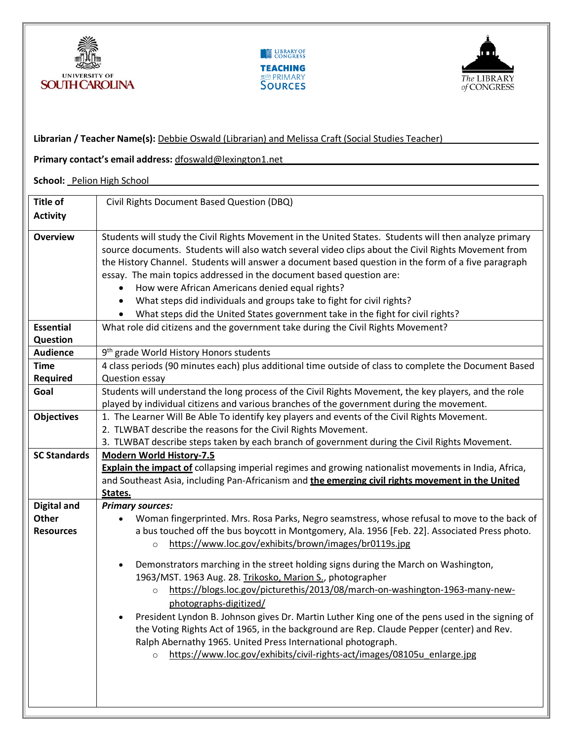



**Librarian / Teacher Name(s):** Debbie Oswald (Librarian) and Melissa Craft (Social Studies Teacher)



**Primary contact's email address:** dfoswald@lexington1.net **School:** Pelion High School **Title of Activity**  Civil Rights Document Based Question (DBQ) **Overview** Students will study the Civil Rights Movement in the United States. Students will then analyze primary source documents. Students will also watch several video clips about the Civil Rights Movement from the History Channel. Students will answer a document based question in the form of a five paragraph essay. The main topics addressed in the document based question are: • How were African Americans denied equal rights? • What steps did individuals and groups take to fight for civil rights? • What steps did the United States government take in the fight for civil rights? **Essential Question** What role did citizens and the government take during the Civil Rights Movement? **Audience** 9<sup>th</sup> grade World History Honors students **Time Required** 4 class periods (90 minutes each) plus additional time outside of class to complete the Document Based Question essay **Goal** Students will understand the long process of the Civil Rights Movement, the key players, and the role played by individual citizens and various branches of the government during the movement. **Objectives** | 1. The Learner Will Be Able To identify key players and events of the Civil Rights Movement. 2. TLWBAT describe the reasons for the Civil Rights Movement. 3. TLWBAT describe steps taken by each branch of government during the Civil Rights Movement. **SC Standards Modern World History-7.5 Explain the impact of** collapsing imperial regimes and growing nationalist movements in India, Africa, and Southeast Asia, including Pan-Africanism and **the emerging civil rights movement in the United States. Digital and Other Resources** *Primary sources:* • Woman fingerprinted. Mrs. Rosa Parks, Negro seamstress, whose refusal to move to the back of a bus touched off the bus boycott in Montgomery, Ala. 1956 [Feb. 22]. Associated Press photo. o https://www.loc.gov/exhibits/brown/images/br0119s.jpg • Demonstrators marching in the street holding signs during the March on Washington, 1963/MST. 1963 Aug. 28. Trikosko, Marion S., photographer o https://blogs.loc.gov/picturethis/2013/08/march-on-washington-1963-many-newphotographs-digitized/ • President Lyndon B. Johnson gives Dr. Martin Luther King one of the pens used in the signing of the Voting Rights Act of 1965, in the background are Rep. Claude Pepper (center) and Rev. Ralph Abernathy 1965. United Press International photograph. o https://www.loc.gov/exhibits/civil-rights-act/images/08105u\_enlarge.jpg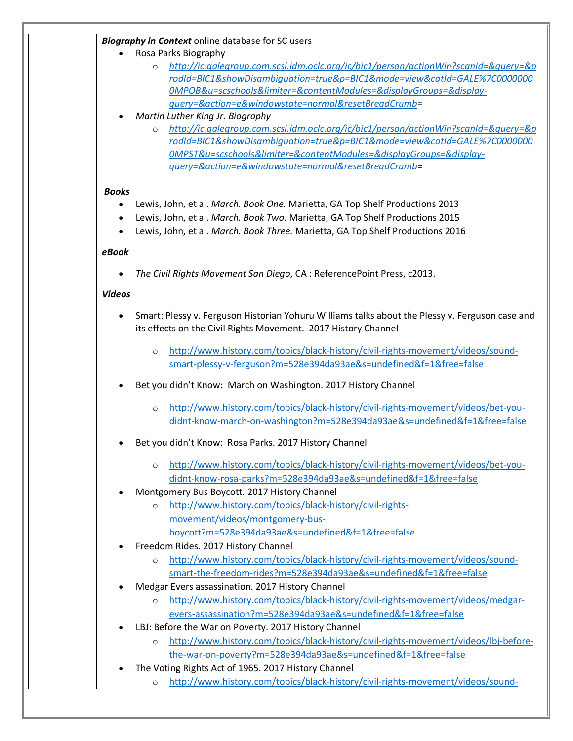## *Biography in Context* online database for SC users

- Rosa Parks Biography
	- o *http://ic.galegroup.com.scsl.idm.oclc.org/ic/bic1/person/actionWin?scanId=&query=&p rodId=BIC1&showDisambiguation=true&p=BIC1&mode=view&catId=GALE%7C0000000 0MPOB&u=scschools&limiter=&contentModules=&displayGroups=&displayquery=&action=e&windowstate=normal&resetBreadCrumb=*
- *Martin Luther King Jr. Biography*
	- o *http://ic.galegroup.com.scsl.idm.oclc.org/ic/bic1/person/actionWin?scanId=&query=&p rodId=BIC1&showDisambiguation=true&p=BIC1&mode=view&catId=GALE%7C0000000 0MPST&u=scschools&limiter=&contentModules=&displayGroups=&displayquery=&action=e&windowstate=normal&resetBreadCrumb=*

### *Books*

- Lewis, John, et al. *March. Book One.* Marietta, GA Top Shelf Productions 2013
- Lewis, John, et al. *March. Book Two.* Marietta, GA Top Shelf Productions 2015
- Lewis, John, et al. *March. Book Three.* Marietta, GA Top Shelf Productions 2016

## *eBook*

• *The Civil Rights Movement San Diego*, CA : ReferencePoint Press, c2013.

### *Videos*

- Smart: Plessy v. Ferguson Historian Yohuru Williams talks about the Plessy v. Ferguson case and its effects on the Civil Rights Movement.2017 History Channel
	- o http://www.history.com/topics/black-history/civil-rights-movement/videos/soundsmart-plessy-v-ferguson?m=528e394da93ae&s=undefined&f=1&free=false
- Bet you didn't Know: March on Washington. 2017 History Channel
	- o http://www.history.com/topics/black-history/civil-rights-movement/videos/bet-youdidnt-know-march-on-washington?m=528e394da93ae&s=undefined&f=1&free=false
- Bet you didn't Know: Rosa Parks. 2017 History Channel
	- o http://www.history.com/topics/black-history/civil-rights-movement/videos/bet-youdidnt-know-rosa-parks?m=528e394da93ae&s=undefined&f=1&free=false
- Montgomery Bus Boycott. 2017 History Channel
	- o http://www.history.com/topics/black-history/civil-rightsmovement/videos/montgomery-busboycott?m=528e394da93ae&s=undefined&f=1&free=false
- Freedom Rides. 2017 History Channel
	- o http://www.history.com/topics/black-history/civil-rights-movement/videos/soundsmart-the-freedom-rides?m=528e394da93ae&s=undefined&f=1&free=false
- Medgar Evers assassination. 2017 History Channel
	- o http://www.history.com/topics/black-history/civil-rights-movement/videos/medgarevers-assassination?m=528e394da93ae&s=undefined&f=1&free=false
- LBJ: Before the War on Poverty. 2017 History Channel
	- o http://www.history.com/topics/black-history/civil-rights-movement/videos/lbj-beforethe-war-on-poverty?m=528e394da93ae&s=undefined&f=1&free=false
- The Voting Rights Act of 1965. 2017 History Channel
	- o http://www.history.com/topics/black-history/civil-rights-movement/videos/sound-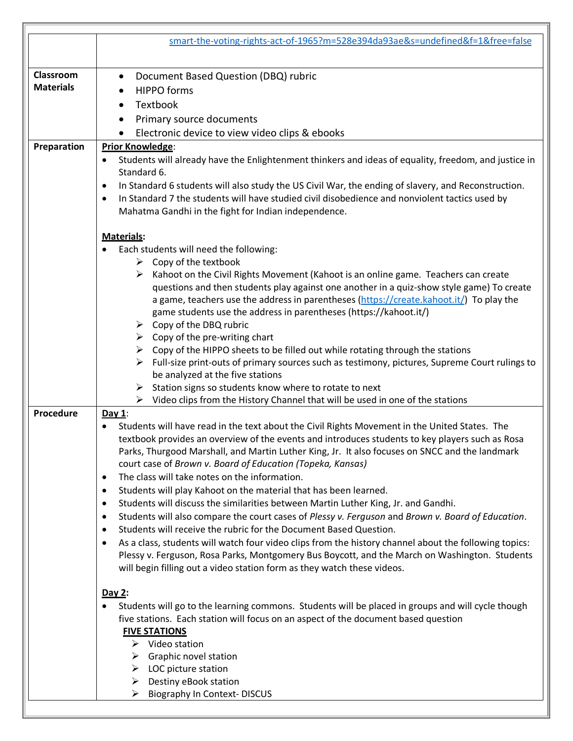|                  | smart-the-voting-rights-act-of-1965?m=528e394da93ae&s=undefined&f=1&free=false                                                                                                                                                                                             |
|------------------|----------------------------------------------------------------------------------------------------------------------------------------------------------------------------------------------------------------------------------------------------------------------------|
| Classroom        | Document Based Question (DBQ) rubric<br>$\bullet$                                                                                                                                                                                                                          |
| <b>Materials</b> | <b>HIPPO</b> forms                                                                                                                                                                                                                                                         |
|                  | Textbook<br>$\bullet$                                                                                                                                                                                                                                                      |
|                  | Primary source documents                                                                                                                                                                                                                                                   |
|                  | Electronic device to view video clips & ebooks                                                                                                                                                                                                                             |
| Preparation      | <b>Prior Knowledge:</b>                                                                                                                                                                                                                                                    |
|                  | Students will already have the Enlightenment thinkers and ideas of equality, freedom, and justice in<br>$\bullet$                                                                                                                                                          |
|                  | Standard 6.                                                                                                                                                                                                                                                                |
|                  | In Standard 6 students will also study the US Civil War, the ending of slavery, and Reconstruction.<br>$\bullet$                                                                                                                                                           |
|                  | In Standard 7 the students will have studied civil disobedience and nonviolent tactics used by<br>$\bullet$                                                                                                                                                                |
|                  | Mahatma Gandhi in the fight for Indian independence.                                                                                                                                                                                                                       |
|                  | Materials:                                                                                                                                                                                                                                                                 |
|                  | Each students will need the following:                                                                                                                                                                                                                                     |
|                  | $\triangleright$ Copy of the textbook                                                                                                                                                                                                                                      |
|                  | Kahoot on the Civil Rights Movement (Kahoot is an online game. Teachers can create<br>questions and then students play against one another in a quiz-show style game) To create<br>a game, teachers use the address in parentheses (https://create.kahoot.it/) To play the |
|                  | game students use the address in parentheses (https://kahoot.it/)                                                                                                                                                                                                          |
|                  | $\triangleright$ Copy of the DBQ rubric                                                                                                                                                                                                                                    |
|                  | $\triangleright$ Copy of the pre-writing chart                                                                                                                                                                                                                             |
|                  | Copy of the HIPPO sheets to be filled out while rotating through the stations<br>➤                                                                                                                                                                                         |
|                  | Full-size print-outs of primary sources such as testimony, pictures, Supreme Court rulings to                                                                                                                                                                              |
|                  | be analyzed at the five stations<br>Station signs so students know where to rotate to next                                                                                                                                                                                 |
|                  | ➤<br>Video clips from the History Channel that will be used in one of the stations<br>➤                                                                                                                                                                                    |
| Procedure        | Day $1$ :                                                                                                                                                                                                                                                                  |
|                  | Students will have read in the text about the Civil Rights Movement in the United States. The                                                                                                                                                                              |
|                  | textbook provides an overview of the events and introduces students to key players such as Rosa                                                                                                                                                                            |
|                  | Parks, Thurgood Marshall, and Martin Luther King, Jr. It also focuses on SNCC and the landmark                                                                                                                                                                             |
|                  | court case of Brown v. Board of Education (Topeka, Kansas)                                                                                                                                                                                                                 |
|                  | The class will take notes on the information.<br>$\bullet$                                                                                                                                                                                                                 |
|                  | Students will play Kahoot on the material that has been learned.<br>$\bullet$                                                                                                                                                                                              |
|                  | Students will discuss the similarities between Martin Luther King, Jr. and Gandhi.<br>٠                                                                                                                                                                                    |
|                  | Students will also compare the court cases of Plessy v. Ferguson and Brown v. Board of Education.<br>٠                                                                                                                                                                     |
|                  | Students will receive the rubric for the Document Based Question.<br>$\bullet$                                                                                                                                                                                             |
|                  | As a class, students will watch four video clips from the history channel about the following topics:<br>٠                                                                                                                                                                 |
|                  | Plessy v. Ferguson, Rosa Parks, Montgomery Bus Boycott, and the March on Washington. Students<br>will begin filling out a video station form as they watch these videos.                                                                                                   |
|                  | Day 2:                                                                                                                                                                                                                                                                     |
|                  | Students will go to the learning commons. Students will be placed in groups and will cycle though                                                                                                                                                                          |
|                  | five stations. Each station will focus on an aspect of the document based question                                                                                                                                                                                         |
|                  | <b>FIVE STATIONS</b>                                                                                                                                                                                                                                                       |
|                  | $\triangleright$ Video station                                                                                                                                                                                                                                             |
|                  | $\triangleright$ Graphic novel station                                                                                                                                                                                                                                     |
|                  | $\triangleright$ LOC picture station                                                                                                                                                                                                                                       |
|                  | Destiny eBook station<br>➤                                                                                                                                                                                                                                                 |
|                  | <b>Biography In Context- DISCUS</b><br>➤                                                                                                                                                                                                                                   |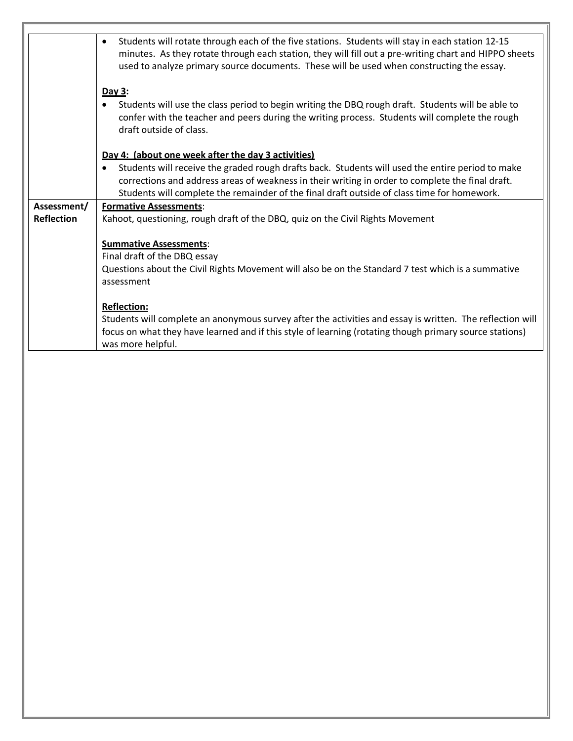|                   | Students will rotate through each of the five stations. Students will stay in each station 12-15<br>$\bullet$<br>minutes. As they rotate through each station, they will fill out a pre-writing chart and HIPPO sheets<br>used to analyze primary source documents. These will be used when constructing the essay. |
|-------------------|---------------------------------------------------------------------------------------------------------------------------------------------------------------------------------------------------------------------------------------------------------------------------------------------------------------------|
|                   | Day 3:                                                                                                                                                                                                                                                                                                              |
|                   | Students will use the class period to begin writing the DBQ rough draft. Students will be able to<br>confer with the teacher and peers during the writing process. Students will complete the rough<br>draft outside of class.                                                                                      |
|                   | Day 4: (about one week after the day 3 activities)                                                                                                                                                                                                                                                                  |
|                   | Students will receive the graded rough drafts back. Students will used the entire period to make<br>corrections and address areas of weakness in their writing in order to complete the final draft.<br>Students will complete the remainder of the final draft outside of class time for homework.                 |
| Assessment/       | <b>Formative Assessments:</b>                                                                                                                                                                                                                                                                                       |
| <b>Reflection</b> | Kahoot, questioning, rough draft of the DBQ, quiz on the Civil Rights Movement                                                                                                                                                                                                                                      |
|                   | <b>Summative Assessments:</b><br>Final draft of the DBQ essay                                                                                                                                                                                                                                                       |
|                   | Questions about the Civil Rights Movement will also be on the Standard 7 test which is a summative<br>assessment                                                                                                                                                                                                    |
|                   | <b>Reflection:</b>                                                                                                                                                                                                                                                                                                  |
|                   | Students will complete an anonymous survey after the activities and essay is written. The reflection will                                                                                                                                                                                                           |
|                   | focus on what they have learned and if this style of learning (rotating though primary source stations)<br>was more helpful.                                                                                                                                                                                        |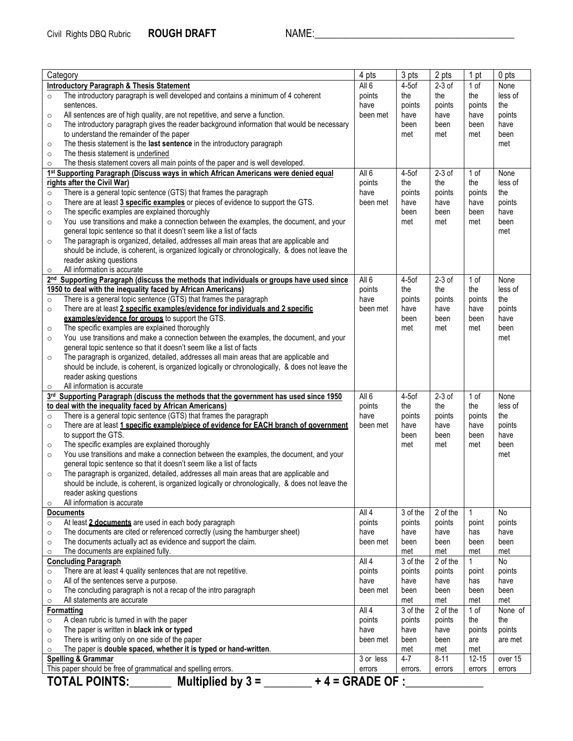| All <sub>6</sub><br>$2-3$ of<br>1 of<br><b>Introductory Paragraph &amp; Thesis Statement</b><br>$4-5$ of<br>None<br>The introductory paragraph is well developed and contains a minimum of 4 coherent<br>the<br>the<br>less of<br>points<br>the<br>$\circ$<br>have<br>the<br>sentences.<br>points<br>points<br>points<br>All sentences are of high quality, are not repetitive, and serve a function.<br>been met<br>have<br>have<br>points<br>have<br>$\circ$<br>The introductory paragraph gives the reader background information that would be necessary<br>have<br>been<br>been<br>been<br>$\circ$<br>to understand the remainder of the paper<br>met<br>met<br>met<br>been<br>The thesis statement is the last sentence in the introductory paragraph<br>met<br>$\circ$<br>The thesis statement is underlined<br>$\circ$<br>The thesis statement covers all main points of the paper and is well developed.<br>$\circ$<br>All 6<br>$2-3$ of<br>1st Supporting Paragraph (Discuss ways in which African Americans were denied equal<br>$4-5$ of<br>1 of<br>None<br>less of<br>rights after the Civil War)<br>the<br>the<br>points<br>the<br>There is a general topic sentence (GTS) that frames the paragraph<br>have<br>the<br>points<br>points<br>points<br>$\circ$<br>There are at least 3 specific examples or pieces of evidence to support the GTS.<br>points<br>been met<br>have<br>have<br>have<br>$\circ$<br>The specific examples are explained thoroughly<br>have<br>been<br>been<br>been<br>$\circ$<br>You use transitions and make a connection between the examples, the document, and your<br>met<br>met<br>met<br>been<br>$\circ$<br>general topic sentence so that it doesn't seem like a list of facts<br>met<br>The paragraph is organized, detailed, addresses all main areas that are applicable and<br>$\circ$<br>should be include, is coherent, is organized logically or chronologically, & does not leave the<br>reader asking questions<br>All information is accurate<br>$\circ$<br>2nd Supporting Paragraph (discuss the methods that individuals or groups have used since<br>All 6<br>$4-5$ of<br>$2-3$ of<br>1 of<br>None<br>1950 to deal with the inequality faced by African Americans)<br>points<br>the<br>less of<br>the<br>the<br>There is a general topic sentence (GTS) that frames the paragraph<br>have<br>points<br>the<br>points<br>points<br>$\circ$<br>There are at least 2 specific examples/evidence for individuals and 2 specific<br>have<br>been met<br>have<br>have<br>points<br>$\circ$<br>examples/evidence for groups to support the GTS.<br>been<br>have<br>been<br>been<br>The specific examples are explained thoroughly<br>met<br>met<br>met<br>been<br>$\circ$<br>You use transitions and make a connection between the examples, the document, and your<br>met<br>$\circ$<br>general topic sentence so that it doesn't seem like a list of facts<br>The paragraph is organized, detailed, addresses all main areas that are applicable and<br>$\circ$<br>should be include, is coherent, is organized logically or chronologically, & does not leave the<br>reader asking questions<br>All information is accurate<br>$\circ$<br>Supporting Paragraph (discuss the methods that the government has used since 1950<br>All 6<br>$2-3$ of<br>$4-5$ of<br>1 of<br>None<br>3 <sup>rd</sup><br>to deal with the inequality faced by African Americans)<br>less of<br>points<br>the<br>the<br>the<br>There is a general topic sentence (GTS) that frames the paragraph<br>have<br>the<br>points<br>points<br>points<br>$\circ$<br>There are at least 1 specific example/piece of evidence for EACH branch of government<br>been met<br>have<br>have<br>have<br>points<br>$\circ$<br>to support the GTS.<br>been<br>been<br>have<br>been<br>The specific examples are explained thoroughly<br>met<br>met<br>met<br>been<br>$\circ$<br>You use transitions and make a connection between the examples, the document, and your<br>met<br>$\circ$<br>general topic sentence so that it doesn't seem like a list of facts<br>The paragraph is organized, detailed, addresses all main areas that are applicable and<br>$\circ$<br>should be include, is coherent, is organized logically or chronologically, & does not leave the<br>reader asking questions<br>All information is accurate<br>$\circ$ |
|--------------------------------------------------------------------------------------------------------------------------------------------------------------------------------------------------------------------------------------------------------------------------------------------------------------------------------------------------------------------------------------------------------------------------------------------------------------------------------------------------------------------------------------------------------------------------------------------------------------------------------------------------------------------------------------------------------------------------------------------------------------------------------------------------------------------------------------------------------------------------------------------------------------------------------------------------------------------------------------------------------------------------------------------------------------------------------------------------------------------------------------------------------------------------------------------------------------------------------------------------------------------------------------------------------------------------------------------------------------------------------------------------------------------------------------------------------------------------------------------------------------------------------------------------------------------------------------------------------------------------------------------------------------------------------------------------------------------------------------------------------------------------------------------------------------------------------------------------------------------------------------------------------------------------------------------------------------------------------------------------------------------------------------------------------------------------------------------------------------------------------------------------------------------------------------------------------------------------------------------------------------------------------------------------------------------------------------------------------------------------------------------------------------------------------------------------------------------------------------------------------------------------------------------------------------------------------------------------------------------------------------------------------------------------------------------------------------------------------------------------------------------------------------------------------------------------------------------------------------------------------------------------------------------------------------------------------------------------------------------------------------------------------------------------------------------------------------------------------------------------------------------------------------------------------------------------------------------------------------------------------------------------------------------------------------------------------------------------------------------------------------------------------------------------------------------------------------------------------------------------------------------------------------------------------------------------------------------------------------------------------------------------------------------------------------------------------------------------------------------------------------------------------------------------------------------------------------------------------------------------------------------------------------------------------------------------------------------------------------------------------------------------------------------------------------------------------------------------------------------------------------------------------------------------------------------------------------------------------------------------------------------------------------------------------------------------------------------------------------|
|                                                                                                                                                                                                                                                                                                                                                                                                                                                                                                                                                                                                                                                                                                                                                                                                                                                                                                                                                                                                                                                                                                                                                                                                                                                                                                                                                                                                                                                                                                                                                                                                                                                                                                                                                                                                                                                                                                                                                                                                                                                                                                                                                                                                                                                                                                                                                                                                                                                                                                                                                                                                                                                                                                                                                                                                                                                                                                                                                                                                                                                                                                                                                                                                                                                                                                                                                                                                                                                                                                                                                                                                                                                                                                                                                                                                                                                                                                                                                                                                                                                                                                                                                                                                                                                                                                                                                              |
|                                                                                                                                                                                                                                                                                                                                                                                                                                                                                                                                                                                                                                                                                                                                                                                                                                                                                                                                                                                                                                                                                                                                                                                                                                                                                                                                                                                                                                                                                                                                                                                                                                                                                                                                                                                                                                                                                                                                                                                                                                                                                                                                                                                                                                                                                                                                                                                                                                                                                                                                                                                                                                                                                                                                                                                                                                                                                                                                                                                                                                                                                                                                                                                                                                                                                                                                                                                                                                                                                                                                                                                                                                                                                                                                                                                                                                                                                                                                                                                                                                                                                                                                                                                                                                                                                                                                                              |
|                                                                                                                                                                                                                                                                                                                                                                                                                                                                                                                                                                                                                                                                                                                                                                                                                                                                                                                                                                                                                                                                                                                                                                                                                                                                                                                                                                                                                                                                                                                                                                                                                                                                                                                                                                                                                                                                                                                                                                                                                                                                                                                                                                                                                                                                                                                                                                                                                                                                                                                                                                                                                                                                                                                                                                                                                                                                                                                                                                                                                                                                                                                                                                                                                                                                                                                                                                                                                                                                                                                                                                                                                                                                                                                                                                                                                                                                                                                                                                                                                                                                                                                                                                                                                                                                                                                                                              |
|                                                                                                                                                                                                                                                                                                                                                                                                                                                                                                                                                                                                                                                                                                                                                                                                                                                                                                                                                                                                                                                                                                                                                                                                                                                                                                                                                                                                                                                                                                                                                                                                                                                                                                                                                                                                                                                                                                                                                                                                                                                                                                                                                                                                                                                                                                                                                                                                                                                                                                                                                                                                                                                                                                                                                                                                                                                                                                                                                                                                                                                                                                                                                                                                                                                                                                                                                                                                                                                                                                                                                                                                                                                                                                                                                                                                                                                                                                                                                                                                                                                                                                                                                                                                                                                                                                                                                              |
|                                                                                                                                                                                                                                                                                                                                                                                                                                                                                                                                                                                                                                                                                                                                                                                                                                                                                                                                                                                                                                                                                                                                                                                                                                                                                                                                                                                                                                                                                                                                                                                                                                                                                                                                                                                                                                                                                                                                                                                                                                                                                                                                                                                                                                                                                                                                                                                                                                                                                                                                                                                                                                                                                                                                                                                                                                                                                                                                                                                                                                                                                                                                                                                                                                                                                                                                                                                                                                                                                                                                                                                                                                                                                                                                                                                                                                                                                                                                                                                                                                                                                                                                                                                                                                                                                                                                                              |
|                                                                                                                                                                                                                                                                                                                                                                                                                                                                                                                                                                                                                                                                                                                                                                                                                                                                                                                                                                                                                                                                                                                                                                                                                                                                                                                                                                                                                                                                                                                                                                                                                                                                                                                                                                                                                                                                                                                                                                                                                                                                                                                                                                                                                                                                                                                                                                                                                                                                                                                                                                                                                                                                                                                                                                                                                                                                                                                                                                                                                                                                                                                                                                                                                                                                                                                                                                                                                                                                                                                                                                                                                                                                                                                                                                                                                                                                                                                                                                                                                                                                                                                                                                                                                                                                                                                                                              |
|                                                                                                                                                                                                                                                                                                                                                                                                                                                                                                                                                                                                                                                                                                                                                                                                                                                                                                                                                                                                                                                                                                                                                                                                                                                                                                                                                                                                                                                                                                                                                                                                                                                                                                                                                                                                                                                                                                                                                                                                                                                                                                                                                                                                                                                                                                                                                                                                                                                                                                                                                                                                                                                                                                                                                                                                                                                                                                                                                                                                                                                                                                                                                                                                                                                                                                                                                                                                                                                                                                                                                                                                                                                                                                                                                                                                                                                                                                                                                                                                                                                                                                                                                                                                                                                                                                                                                              |
|                                                                                                                                                                                                                                                                                                                                                                                                                                                                                                                                                                                                                                                                                                                                                                                                                                                                                                                                                                                                                                                                                                                                                                                                                                                                                                                                                                                                                                                                                                                                                                                                                                                                                                                                                                                                                                                                                                                                                                                                                                                                                                                                                                                                                                                                                                                                                                                                                                                                                                                                                                                                                                                                                                                                                                                                                                                                                                                                                                                                                                                                                                                                                                                                                                                                                                                                                                                                                                                                                                                                                                                                                                                                                                                                                                                                                                                                                                                                                                                                                                                                                                                                                                                                                                                                                                                                                              |
|                                                                                                                                                                                                                                                                                                                                                                                                                                                                                                                                                                                                                                                                                                                                                                                                                                                                                                                                                                                                                                                                                                                                                                                                                                                                                                                                                                                                                                                                                                                                                                                                                                                                                                                                                                                                                                                                                                                                                                                                                                                                                                                                                                                                                                                                                                                                                                                                                                                                                                                                                                                                                                                                                                                                                                                                                                                                                                                                                                                                                                                                                                                                                                                                                                                                                                                                                                                                                                                                                                                                                                                                                                                                                                                                                                                                                                                                                                                                                                                                                                                                                                                                                                                                                                                                                                                                                              |
|                                                                                                                                                                                                                                                                                                                                                                                                                                                                                                                                                                                                                                                                                                                                                                                                                                                                                                                                                                                                                                                                                                                                                                                                                                                                                                                                                                                                                                                                                                                                                                                                                                                                                                                                                                                                                                                                                                                                                                                                                                                                                                                                                                                                                                                                                                                                                                                                                                                                                                                                                                                                                                                                                                                                                                                                                                                                                                                                                                                                                                                                                                                                                                                                                                                                                                                                                                                                                                                                                                                                                                                                                                                                                                                                                                                                                                                                                                                                                                                                                                                                                                                                                                                                                                                                                                                                                              |
|                                                                                                                                                                                                                                                                                                                                                                                                                                                                                                                                                                                                                                                                                                                                                                                                                                                                                                                                                                                                                                                                                                                                                                                                                                                                                                                                                                                                                                                                                                                                                                                                                                                                                                                                                                                                                                                                                                                                                                                                                                                                                                                                                                                                                                                                                                                                                                                                                                                                                                                                                                                                                                                                                                                                                                                                                                                                                                                                                                                                                                                                                                                                                                                                                                                                                                                                                                                                                                                                                                                                                                                                                                                                                                                                                                                                                                                                                                                                                                                                                                                                                                                                                                                                                                                                                                                                                              |
|                                                                                                                                                                                                                                                                                                                                                                                                                                                                                                                                                                                                                                                                                                                                                                                                                                                                                                                                                                                                                                                                                                                                                                                                                                                                                                                                                                                                                                                                                                                                                                                                                                                                                                                                                                                                                                                                                                                                                                                                                                                                                                                                                                                                                                                                                                                                                                                                                                                                                                                                                                                                                                                                                                                                                                                                                                                                                                                                                                                                                                                                                                                                                                                                                                                                                                                                                                                                                                                                                                                                                                                                                                                                                                                                                                                                                                                                                                                                                                                                                                                                                                                                                                                                                                                                                                                                                              |
|                                                                                                                                                                                                                                                                                                                                                                                                                                                                                                                                                                                                                                                                                                                                                                                                                                                                                                                                                                                                                                                                                                                                                                                                                                                                                                                                                                                                                                                                                                                                                                                                                                                                                                                                                                                                                                                                                                                                                                                                                                                                                                                                                                                                                                                                                                                                                                                                                                                                                                                                                                                                                                                                                                                                                                                                                                                                                                                                                                                                                                                                                                                                                                                                                                                                                                                                                                                                                                                                                                                                                                                                                                                                                                                                                                                                                                                                                                                                                                                                                                                                                                                                                                                                                                                                                                                                                              |
|                                                                                                                                                                                                                                                                                                                                                                                                                                                                                                                                                                                                                                                                                                                                                                                                                                                                                                                                                                                                                                                                                                                                                                                                                                                                                                                                                                                                                                                                                                                                                                                                                                                                                                                                                                                                                                                                                                                                                                                                                                                                                                                                                                                                                                                                                                                                                                                                                                                                                                                                                                                                                                                                                                                                                                                                                                                                                                                                                                                                                                                                                                                                                                                                                                                                                                                                                                                                                                                                                                                                                                                                                                                                                                                                                                                                                                                                                                                                                                                                                                                                                                                                                                                                                                                                                                                                                              |
|                                                                                                                                                                                                                                                                                                                                                                                                                                                                                                                                                                                                                                                                                                                                                                                                                                                                                                                                                                                                                                                                                                                                                                                                                                                                                                                                                                                                                                                                                                                                                                                                                                                                                                                                                                                                                                                                                                                                                                                                                                                                                                                                                                                                                                                                                                                                                                                                                                                                                                                                                                                                                                                                                                                                                                                                                                                                                                                                                                                                                                                                                                                                                                                                                                                                                                                                                                                                                                                                                                                                                                                                                                                                                                                                                                                                                                                                                                                                                                                                                                                                                                                                                                                                                                                                                                                                                              |
|                                                                                                                                                                                                                                                                                                                                                                                                                                                                                                                                                                                                                                                                                                                                                                                                                                                                                                                                                                                                                                                                                                                                                                                                                                                                                                                                                                                                                                                                                                                                                                                                                                                                                                                                                                                                                                                                                                                                                                                                                                                                                                                                                                                                                                                                                                                                                                                                                                                                                                                                                                                                                                                                                                                                                                                                                                                                                                                                                                                                                                                                                                                                                                                                                                                                                                                                                                                                                                                                                                                                                                                                                                                                                                                                                                                                                                                                                                                                                                                                                                                                                                                                                                                                                                                                                                                                                              |
|                                                                                                                                                                                                                                                                                                                                                                                                                                                                                                                                                                                                                                                                                                                                                                                                                                                                                                                                                                                                                                                                                                                                                                                                                                                                                                                                                                                                                                                                                                                                                                                                                                                                                                                                                                                                                                                                                                                                                                                                                                                                                                                                                                                                                                                                                                                                                                                                                                                                                                                                                                                                                                                                                                                                                                                                                                                                                                                                                                                                                                                                                                                                                                                                                                                                                                                                                                                                                                                                                                                                                                                                                                                                                                                                                                                                                                                                                                                                                                                                                                                                                                                                                                                                                                                                                                                                                              |
|                                                                                                                                                                                                                                                                                                                                                                                                                                                                                                                                                                                                                                                                                                                                                                                                                                                                                                                                                                                                                                                                                                                                                                                                                                                                                                                                                                                                                                                                                                                                                                                                                                                                                                                                                                                                                                                                                                                                                                                                                                                                                                                                                                                                                                                                                                                                                                                                                                                                                                                                                                                                                                                                                                                                                                                                                                                                                                                                                                                                                                                                                                                                                                                                                                                                                                                                                                                                                                                                                                                                                                                                                                                                                                                                                                                                                                                                                                                                                                                                                                                                                                                                                                                                                                                                                                                                                              |
|                                                                                                                                                                                                                                                                                                                                                                                                                                                                                                                                                                                                                                                                                                                                                                                                                                                                                                                                                                                                                                                                                                                                                                                                                                                                                                                                                                                                                                                                                                                                                                                                                                                                                                                                                                                                                                                                                                                                                                                                                                                                                                                                                                                                                                                                                                                                                                                                                                                                                                                                                                                                                                                                                                                                                                                                                                                                                                                                                                                                                                                                                                                                                                                                                                                                                                                                                                                                                                                                                                                                                                                                                                                                                                                                                                                                                                                                                                                                                                                                                                                                                                                                                                                                                                                                                                                                                              |
|                                                                                                                                                                                                                                                                                                                                                                                                                                                                                                                                                                                                                                                                                                                                                                                                                                                                                                                                                                                                                                                                                                                                                                                                                                                                                                                                                                                                                                                                                                                                                                                                                                                                                                                                                                                                                                                                                                                                                                                                                                                                                                                                                                                                                                                                                                                                                                                                                                                                                                                                                                                                                                                                                                                                                                                                                                                                                                                                                                                                                                                                                                                                                                                                                                                                                                                                                                                                                                                                                                                                                                                                                                                                                                                                                                                                                                                                                                                                                                                                                                                                                                                                                                                                                                                                                                                                                              |
|                                                                                                                                                                                                                                                                                                                                                                                                                                                                                                                                                                                                                                                                                                                                                                                                                                                                                                                                                                                                                                                                                                                                                                                                                                                                                                                                                                                                                                                                                                                                                                                                                                                                                                                                                                                                                                                                                                                                                                                                                                                                                                                                                                                                                                                                                                                                                                                                                                                                                                                                                                                                                                                                                                                                                                                                                                                                                                                                                                                                                                                                                                                                                                                                                                                                                                                                                                                                                                                                                                                                                                                                                                                                                                                                                                                                                                                                                                                                                                                                                                                                                                                                                                                                                                                                                                                                                              |
|                                                                                                                                                                                                                                                                                                                                                                                                                                                                                                                                                                                                                                                                                                                                                                                                                                                                                                                                                                                                                                                                                                                                                                                                                                                                                                                                                                                                                                                                                                                                                                                                                                                                                                                                                                                                                                                                                                                                                                                                                                                                                                                                                                                                                                                                                                                                                                                                                                                                                                                                                                                                                                                                                                                                                                                                                                                                                                                                                                                                                                                                                                                                                                                                                                                                                                                                                                                                                                                                                                                                                                                                                                                                                                                                                                                                                                                                                                                                                                                                                                                                                                                                                                                                                                                                                                                                                              |
|                                                                                                                                                                                                                                                                                                                                                                                                                                                                                                                                                                                                                                                                                                                                                                                                                                                                                                                                                                                                                                                                                                                                                                                                                                                                                                                                                                                                                                                                                                                                                                                                                                                                                                                                                                                                                                                                                                                                                                                                                                                                                                                                                                                                                                                                                                                                                                                                                                                                                                                                                                                                                                                                                                                                                                                                                                                                                                                                                                                                                                                                                                                                                                                                                                                                                                                                                                                                                                                                                                                                                                                                                                                                                                                                                                                                                                                                                                                                                                                                                                                                                                                                                                                                                                                                                                                                                              |
|                                                                                                                                                                                                                                                                                                                                                                                                                                                                                                                                                                                                                                                                                                                                                                                                                                                                                                                                                                                                                                                                                                                                                                                                                                                                                                                                                                                                                                                                                                                                                                                                                                                                                                                                                                                                                                                                                                                                                                                                                                                                                                                                                                                                                                                                                                                                                                                                                                                                                                                                                                                                                                                                                                                                                                                                                                                                                                                                                                                                                                                                                                                                                                                                                                                                                                                                                                                                                                                                                                                                                                                                                                                                                                                                                                                                                                                                                                                                                                                                                                                                                                                                                                                                                                                                                                                                                              |
|                                                                                                                                                                                                                                                                                                                                                                                                                                                                                                                                                                                                                                                                                                                                                                                                                                                                                                                                                                                                                                                                                                                                                                                                                                                                                                                                                                                                                                                                                                                                                                                                                                                                                                                                                                                                                                                                                                                                                                                                                                                                                                                                                                                                                                                                                                                                                                                                                                                                                                                                                                                                                                                                                                                                                                                                                                                                                                                                                                                                                                                                                                                                                                                                                                                                                                                                                                                                                                                                                                                                                                                                                                                                                                                                                                                                                                                                                                                                                                                                                                                                                                                                                                                                                                                                                                                                                              |
|                                                                                                                                                                                                                                                                                                                                                                                                                                                                                                                                                                                                                                                                                                                                                                                                                                                                                                                                                                                                                                                                                                                                                                                                                                                                                                                                                                                                                                                                                                                                                                                                                                                                                                                                                                                                                                                                                                                                                                                                                                                                                                                                                                                                                                                                                                                                                                                                                                                                                                                                                                                                                                                                                                                                                                                                                                                                                                                                                                                                                                                                                                                                                                                                                                                                                                                                                                                                                                                                                                                                                                                                                                                                                                                                                                                                                                                                                                                                                                                                                                                                                                                                                                                                                                                                                                                                                              |
|                                                                                                                                                                                                                                                                                                                                                                                                                                                                                                                                                                                                                                                                                                                                                                                                                                                                                                                                                                                                                                                                                                                                                                                                                                                                                                                                                                                                                                                                                                                                                                                                                                                                                                                                                                                                                                                                                                                                                                                                                                                                                                                                                                                                                                                                                                                                                                                                                                                                                                                                                                                                                                                                                                                                                                                                                                                                                                                                                                                                                                                                                                                                                                                                                                                                                                                                                                                                                                                                                                                                                                                                                                                                                                                                                                                                                                                                                                                                                                                                                                                                                                                                                                                                                                                                                                                                                              |
|                                                                                                                                                                                                                                                                                                                                                                                                                                                                                                                                                                                                                                                                                                                                                                                                                                                                                                                                                                                                                                                                                                                                                                                                                                                                                                                                                                                                                                                                                                                                                                                                                                                                                                                                                                                                                                                                                                                                                                                                                                                                                                                                                                                                                                                                                                                                                                                                                                                                                                                                                                                                                                                                                                                                                                                                                                                                                                                                                                                                                                                                                                                                                                                                                                                                                                                                                                                                                                                                                                                                                                                                                                                                                                                                                                                                                                                                                                                                                                                                                                                                                                                                                                                                                                                                                                                                                              |
|                                                                                                                                                                                                                                                                                                                                                                                                                                                                                                                                                                                                                                                                                                                                                                                                                                                                                                                                                                                                                                                                                                                                                                                                                                                                                                                                                                                                                                                                                                                                                                                                                                                                                                                                                                                                                                                                                                                                                                                                                                                                                                                                                                                                                                                                                                                                                                                                                                                                                                                                                                                                                                                                                                                                                                                                                                                                                                                                                                                                                                                                                                                                                                                                                                                                                                                                                                                                                                                                                                                                                                                                                                                                                                                                                                                                                                                                                                                                                                                                                                                                                                                                                                                                                                                                                                                                                              |
|                                                                                                                                                                                                                                                                                                                                                                                                                                                                                                                                                                                                                                                                                                                                                                                                                                                                                                                                                                                                                                                                                                                                                                                                                                                                                                                                                                                                                                                                                                                                                                                                                                                                                                                                                                                                                                                                                                                                                                                                                                                                                                                                                                                                                                                                                                                                                                                                                                                                                                                                                                                                                                                                                                                                                                                                                                                                                                                                                                                                                                                                                                                                                                                                                                                                                                                                                                                                                                                                                                                                                                                                                                                                                                                                                                                                                                                                                                                                                                                                                                                                                                                                                                                                                                                                                                                                                              |
|                                                                                                                                                                                                                                                                                                                                                                                                                                                                                                                                                                                                                                                                                                                                                                                                                                                                                                                                                                                                                                                                                                                                                                                                                                                                                                                                                                                                                                                                                                                                                                                                                                                                                                                                                                                                                                                                                                                                                                                                                                                                                                                                                                                                                                                                                                                                                                                                                                                                                                                                                                                                                                                                                                                                                                                                                                                                                                                                                                                                                                                                                                                                                                                                                                                                                                                                                                                                                                                                                                                                                                                                                                                                                                                                                                                                                                                                                                                                                                                                                                                                                                                                                                                                                                                                                                                                                              |
|                                                                                                                                                                                                                                                                                                                                                                                                                                                                                                                                                                                                                                                                                                                                                                                                                                                                                                                                                                                                                                                                                                                                                                                                                                                                                                                                                                                                                                                                                                                                                                                                                                                                                                                                                                                                                                                                                                                                                                                                                                                                                                                                                                                                                                                                                                                                                                                                                                                                                                                                                                                                                                                                                                                                                                                                                                                                                                                                                                                                                                                                                                                                                                                                                                                                                                                                                                                                                                                                                                                                                                                                                                                                                                                                                                                                                                                                                                                                                                                                                                                                                                                                                                                                                                                                                                                                                              |
|                                                                                                                                                                                                                                                                                                                                                                                                                                                                                                                                                                                                                                                                                                                                                                                                                                                                                                                                                                                                                                                                                                                                                                                                                                                                                                                                                                                                                                                                                                                                                                                                                                                                                                                                                                                                                                                                                                                                                                                                                                                                                                                                                                                                                                                                                                                                                                                                                                                                                                                                                                                                                                                                                                                                                                                                                                                                                                                                                                                                                                                                                                                                                                                                                                                                                                                                                                                                                                                                                                                                                                                                                                                                                                                                                                                                                                                                                                                                                                                                                                                                                                                                                                                                                                                                                                                                                              |
|                                                                                                                                                                                                                                                                                                                                                                                                                                                                                                                                                                                                                                                                                                                                                                                                                                                                                                                                                                                                                                                                                                                                                                                                                                                                                                                                                                                                                                                                                                                                                                                                                                                                                                                                                                                                                                                                                                                                                                                                                                                                                                                                                                                                                                                                                                                                                                                                                                                                                                                                                                                                                                                                                                                                                                                                                                                                                                                                                                                                                                                                                                                                                                                                                                                                                                                                                                                                                                                                                                                                                                                                                                                                                                                                                                                                                                                                                                                                                                                                                                                                                                                                                                                                                                                                                                                                                              |
|                                                                                                                                                                                                                                                                                                                                                                                                                                                                                                                                                                                                                                                                                                                                                                                                                                                                                                                                                                                                                                                                                                                                                                                                                                                                                                                                                                                                                                                                                                                                                                                                                                                                                                                                                                                                                                                                                                                                                                                                                                                                                                                                                                                                                                                                                                                                                                                                                                                                                                                                                                                                                                                                                                                                                                                                                                                                                                                                                                                                                                                                                                                                                                                                                                                                                                                                                                                                                                                                                                                                                                                                                                                                                                                                                                                                                                                                                                                                                                                                                                                                                                                                                                                                                                                                                                                                                              |
|                                                                                                                                                                                                                                                                                                                                                                                                                                                                                                                                                                                                                                                                                                                                                                                                                                                                                                                                                                                                                                                                                                                                                                                                                                                                                                                                                                                                                                                                                                                                                                                                                                                                                                                                                                                                                                                                                                                                                                                                                                                                                                                                                                                                                                                                                                                                                                                                                                                                                                                                                                                                                                                                                                                                                                                                                                                                                                                                                                                                                                                                                                                                                                                                                                                                                                                                                                                                                                                                                                                                                                                                                                                                                                                                                                                                                                                                                                                                                                                                                                                                                                                                                                                                                                                                                                                                                              |
|                                                                                                                                                                                                                                                                                                                                                                                                                                                                                                                                                                                                                                                                                                                                                                                                                                                                                                                                                                                                                                                                                                                                                                                                                                                                                                                                                                                                                                                                                                                                                                                                                                                                                                                                                                                                                                                                                                                                                                                                                                                                                                                                                                                                                                                                                                                                                                                                                                                                                                                                                                                                                                                                                                                                                                                                                                                                                                                                                                                                                                                                                                                                                                                                                                                                                                                                                                                                                                                                                                                                                                                                                                                                                                                                                                                                                                                                                                                                                                                                                                                                                                                                                                                                                                                                                                                                                              |
|                                                                                                                                                                                                                                                                                                                                                                                                                                                                                                                                                                                                                                                                                                                                                                                                                                                                                                                                                                                                                                                                                                                                                                                                                                                                                                                                                                                                                                                                                                                                                                                                                                                                                                                                                                                                                                                                                                                                                                                                                                                                                                                                                                                                                                                                                                                                                                                                                                                                                                                                                                                                                                                                                                                                                                                                                                                                                                                                                                                                                                                                                                                                                                                                                                                                                                                                                                                                                                                                                                                                                                                                                                                                                                                                                                                                                                                                                                                                                                                                                                                                                                                                                                                                                                                                                                                                                              |
|                                                                                                                                                                                                                                                                                                                                                                                                                                                                                                                                                                                                                                                                                                                                                                                                                                                                                                                                                                                                                                                                                                                                                                                                                                                                                                                                                                                                                                                                                                                                                                                                                                                                                                                                                                                                                                                                                                                                                                                                                                                                                                                                                                                                                                                                                                                                                                                                                                                                                                                                                                                                                                                                                                                                                                                                                                                                                                                                                                                                                                                                                                                                                                                                                                                                                                                                                                                                                                                                                                                                                                                                                                                                                                                                                                                                                                                                                                                                                                                                                                                                                                                                                                                                                                                                                                                                                              |
|                                                                                                                                                                                                                                                                                                                                                                                                                                                                                                                                                                                                                                                                                                                                                                                                                                                                                                                                                                                                                                                                                                                                                                                                                                                                                                                                                                                                                                                                                                                                                                                                                                                                                                                                                                                                                                                                                                                                                                                                                                                                                                                                                                                                                                                                                                                                                                                                                                                                                                                                                                                                                                                                                                                                                                                                                                                                                                                                                                                                                                                                                                                                                                                                                                                                                                                                                                                                                                                                                                                                                                                                                                                                                                                                                                                                                                                                                                                                                                                                                                                                                                                                                                                                                                                                                                                                                              |
|                                                                                                                                                                                                                                                                                                                                                                                                                                                                                                                                                                                                                                                                                                                                                                                                                                                                                                                                                                                                                                                                                                                                                                                                                                                                                                                                                                                                                                                                                                                                                                                                                                                                                                                                                                                                                                                                                                                                                                                                                                                                                                                                                                                                                                                                                                                                                                                                                                                                                                                                                                                                                                                                                                                                                                                                                                                                                                                                                                                                                                                                                                                                                                                                                                                                                                                                                                                                                                                                                                                                                                                                                                                                                                                                                                                                                                                                                                                                                                                                                                                                                                                                                                                                                                                                                                                                                              |
|                                                                                                                                                                                                                                                                                                                                                                                                                                                                                                                                                                                                                                                                                                                                                                                                                                                                                                                                                                                                                                                                                                                                                                                                                                                                                                                                                                                                                                                                                                                                                                                                                                                                                                                                                                                                                                                                                                                                                                                                                                                                                                                                                                                                                                                                                                                                                                                                                                                                                                                                                                                                                                                                                                                                                                                                                                                                                                                                                                                                                                                                                                                                                                                                                                                                                                                                                                                                                                                                                                                                                                                                                                                                                                                                                                                                                                                                                                                                                                                                                                                                                                                                                                                                                                                                                                                                                              |
|                                                                                                                                                                                                                                                                                                                                                                                                                                                                                                                                                                                                                                                                                                                                                                                                                                                                                                                                                                                                                                                                                                                                                                                                                                                                                                                                                                                                                                                                                                                                                                                                                                                                                                                                                                                                                                                                                                                                                                                                                                                                                                                                                                                                                                                                                                                                                                                                                                                                                                                                                                                                                                                                                                                                                                                                                                                                                                                                                                                                                                                                                                                                                                                                                                                                                                                                                                                                                                                                                                                                                                                                                                                                                                                                                                                                                                                                                                                                                                                                                                                                                                                                                                                                                                                                                                                                                              |
|                                                                                                                                                                                                                                                                                                                                                                                                                                                                                                                                                                                                                                                                                                                                                                                                                                                                                                                                                                                                                                                                                                                                                                                                                                                                                                                                                                                                                                                                                                                                                                                                                                                                                                                                                                                                                                                                                                                                                                                                                                                                                                                                                                                                                                                                                                                                                                                                                                                                                                                                                                                                                                                                                                                                                                                                                                                                                                                                                                                                                                                                                                                                                                                                                                                                                                                                                                                                                                                                                                                                                                                                                                                                                                                                                                                                                                                                                                                                                                                                                                                                                                                                                                                                                                                                                                                                                              |
|                                                                                                                                                                                                                                                                                                                                                                                                                                                                                                                                                                                                                                                                                                                                                                                                                                                                                                                                                                                                                                                                                                                                                                                                                                                                                                                                                                                                                                                                                                                                                                                                                                                                                                                                                                                                                                                                                                                                                                                                                                                                                                                                                                                                                                                                                                                                                                                                                                                                                                                                                                                                                                                                                                                                                                                                                                                                                                                                                                                                                                                                                                                                                                                                                                                                                                                                                                                                                                                                                                                                                                                                                                                                                                                                                                                                                                                                                                                                                                                                                                                                                                                                                                                                                                                                                                                                                              |
| All 4<br>3 of the<br>2 of the<br>No<br><b>Documents</b><br>1                                                                                                                                                                                                                                                                                                                                                                                                                                                                                                                                                                                                                                                                                                                                                                                                                                                                                                                                                                                                                                                                                                                                                                                                                                                                                                                                                                                                                                                                                                                                                                                                                                                                                                                                                                                                                                                                                                                                                                                                                                                                                                                                                                                                                                                                                                                                                                                                                                                                                                                                                                                                                                                                                                                                                                                                                                                                                                                                                                                                                                                                                                                                                                                                                                                                                                                                                                                                                                                                                                                                                                                                                                                                                                                                                                                                                                                                                                                                                                                                                                                                                                                                                                                                                                                                                                 |
| At least 2 documents are used in each body paragraph<br>points<br>points<br>points<br>point<br>points<br>$\circ$                                                                                                                                                                                                                                                                                                                                                                                                                                                                                                                                                                                                                                                                                                                                                                                                                                                                                                                                                                                                                                                                                                                                                                                                                                                                                                                                                                                                                                                                                                                                                                                                                                                                                                                                                                                                                                                                                                                                                                                                                                                                                                                                                                                                                                                                                                                                                                                                                                                                                                                                                                                                                                                                                                                                                                                                                                                                                                                                                                                                                                                                                                                                                                                                                                                                                                                                                                                                                                                                                                                                                                                                                                                                                                                                                                                                                                                                                                                                                                                                                                                                                                                                                                                                                                             |
| The documents are cited or referenced correctly (using the hamburger sheet)<br>have<br>have<br>have<br>has<br>have<br>$\circ$                                                                                                                                                                                                                                                                                                                                                                                                                                                                                                                                                                                                                                                                                                                                                                                                                                                                                                                                                                                                                                                                                                                                                                                                                                                                                                                                                                                                                                                                                                                                                                                                                                                                                                                                                                                                                                                                                                                                                                                                                                                                                                                                                                                                                                                                                                                                                                                                                                                                                                                                                                                                                                                                                                                                                                                                                                                                                                                                                                                                                                                                                                                                                                                                                                                                                                                                                                                                                                                                                                                                                                                                                                                                                                                                                                                                                                                                                                                                                                                                                                                                                                                                                                                                                                |
| The documents actually act as evidence and support the claim.<br>been<br>been met<br>been<br>been<br>been<br>$\circ$                                                                                                                                                                                                                                                                                                                                                                                                                                                                                                                                                                                                                                                                                                                                                                                                                                                                                                                                                                                                                                                                                                                                                                                                                                                                                                                                                                                                                                                                                                                                                                                                                                                                                                                                                                                                                                                                                                                                                                                                                                                                                                                                                                                                                                                                                                                                                                                                                                                                                                                                                                                                                                                                                                                                                                                                                                                                                                                                                                                                                                                                                                                                                                                                                                                                                                                                                                                                                                                                                                                                                                                                                                                                                                                                                                                                                                                                                                                                                                                                                                                                                                                                                                                                                                         |
| The documents are explained fully.<br>met<br>met<br>met<br>met<br>$\circ$                                                                                                                                                                                                                                                                                                                                                                                                                                                                                                                                                                                                                                                                                                                                                                                                                                                                                                                                                                                                                                                                                                                                                                                                                                                                                                                                                                                                                                                                                                                                                                                                                                                                                                                                                                                                                                                                                                                                                                                                                                                                                                                                                                                                                                                                                                                                                                                                                                                                                                                                                                                                                                                                                                                                                                                                                                                                                                                                                                                                                                                                                                                                                                                                                                                                                                                                                                                                                                                                                                                                                                                                                                                                                                                                                                                                                                                                                                                                                                                                                                                                                                                                                                                                                                                                                    |
| $\overline{All}$ 4<br>No<br><b>Concluding Paragraph</b><br>3 of the<br>2 of the<br>1                                                                                                                                                                                                                                                                                                                                                                                                                                                                                                                                                                                                                                                                                                                                                                                                                                                                                                                                                                                                                                                                                                                                                                                                                                                                                                                                                                                                                                                                                                                                                                                                                                                                                                                                                                                                                                                                                                                                                                                                                                                                                                                                                                                                                                                                                                                                                                                                                                                                                                                                                                                                                                                                                                                                                                                                                                                                                                                                                                                                                                                                                                                                                                                                                                                                                                                                                                                                                                                                                                                                                                                                                                                                                                                                                                                                                                                                                                                                                                                                                                                                                                                                                                                                                                                                         |
| There are at least 4 quality sentences that are not repetitive.<br>points<br>points<br>points<br>point<br>points<br>$\circ$                                                                                                                                                                                                                                                                                                                                                                                                                                                                                                                                                                                                                                                                                                                                                                                                                                                                                                                                                                                                                                                                                                                                                                                                                                                                                                                                                                                                                                                                                                                                                                                                                                                                                                                                                                                                                                                                                                                                                                                                                                                                                                                                                                                                                                                                                                                                                                                                                                                                                                                                                                                                                                                                                                                                                                                                                                                                                                                                                                                                                                                                                                                                                                                                                                                                                                                                                                                                                                                                                                                                                                                                                                                                                                                                                                                                                                                                                                                                                                                                                                                                                                                                                                                                                                  |
| All of the sentences serve a purpose.<br>have<br>have<br>have<br>have<br>has                                                                                                                                                                                                                                                                                                                                                                                                                                                                                                                                                                                                                                                                                                                                                                                                                                                                                                                                                                                                                                                                                                                                                                                                                                                                                                                                                                                                                                                                                                                                                                                                                                                                                                                                                                                                                                                                                                                                                                                                                                                                                                                                                                                                                                                                                                                                                                                                                                                                                                                                                                                                                                                                                                                                                                                                                                                                                                                                                                                                                                                                                                                                                                                                                                                                                                                                                                                                                                                                                                                                                                                                                                                                                                                                                                                                                                                                                                                                                                                                                                                                                                                                                                                                                                                                                 |
| $\circ$<br>The concluding paragraph is not a recap of the intro paragraph<br>been<br>been met<br>been<br>been<br>been                                                                                                                                                                                                                                                                                                                                                                                                                                                                                                                                                                                                                                                                                                                                                                                                                                                                                                                                                                                                                                                                                                                                                                                                                                                                                                                                                                                                                                                                                                                                                                                                                                                                                                                                                                                                                                                                                                                                                                                                                                                                                                                                                                                                                                                                                                                                                                                                                                                                                                                                                                                                                                                                                                                                                                                                                                                                                                                                                                                                                                                                                                                                                                                                                                                                                                                                                                                                                                                                                                                                                                                                                                                                                                                                                                                                                                                                                                                                                                                                                                                                                                                                                                                                                                        |
| $\circ$<br>All statements are accurate                                                                                                                                                                                                                                                                                                                                                                                                                                                                                                                                                                                                                                                                                                                                                                                                                                                                                                                                                                                                                                                                                                                                                                                                                                                                                                                                                                                                                                                                                                                                                                                                                                                                                                                                                                                                                                                                                                                                                                                                                                                                                                                                                                                                                                                                                                                                                                                                                                                                                                                                                                                                                                                                                                                                                                                                                                                                                                                                                                                                                                                                                                                                                                                                                                                                                                                                                                                                                                                                                                                                                                                                                                                                                                                                                                                                                                                                                                                                                                                                                                                                                                                                                                                                                                                                                                                       |
| met<br>met<br>met<br>met<br>$\circ$                                                                                                                                                                                                                                                                                                                                                                                                                                                                                                                                                                                                                                                                                                                                                                                                                                                                                                                                                                                                                                                                                                                                                                                                                                                                                                                                                                                                                                                                                                                                                                                                                                                                                                                                                                                                                                                                                                                                                                                                                                                                                                                                                                                                                                                                                                                                                                                                                                                                                                                                                                                                                                                                                                                                                                                                                                                                                                                                                                                                                                                                                                                                                                                                                                                                                                                                                                                                                                                                                                                                                                                                                                                                                                                                                                                                                                                                                                                                                                                                                                                                                                                                                                                                                                                                                                                          |
| Formatting<br>All 4<br>2 of the<br>1 of<br>None of<br>3 of the                                                                                                                                                                                                                                                                                                                                                                                                                                                                                                                                                                                                                                                                                                                                                                                                                                                                                                                                                                                                                                                                                                                                                                                                                                                                                                                                                                                                                                                                                                                                                                                                                                                                                                                                                                                                                                                                                                                                                                                                                                                                                                                                                                                                                                                                                                                                                                                                                                                                                                                                                                                                                                                                                                                                                                                                                                                                                                                                                                                                                                                                                                                                                                                                                                                                                                                                                                                                                                                                                                                                                                                                                                                                                                                                                                                                                                                                                                                                                                                                                                                                                                                                                                                                                                                                                               |
| A clean rubric is turned in with the paper<br>the<br>points<br>points<br>points<br>the<br>$\circ$                                                                                                                                                                                                                                                                                                                                                                                                                                                                                                                                                                                                                                                                                                                                                                                                                                                                                                                                                                                                                                                                                                                                                                                                                                                                                                                                                                                                                                                                                                                                                                                                                                                                                                                                                                                                                                                                                                                                                                                                                                                                                                                                                                                                                                                                                                                                                                                                                                                                                                                                                                                                                                                                                                                                                                                                                                                                                                                                                                                                                                                                                                                                                                                                                                                                                                                                                                                                                                                                                                                                                                                                                                                                                                                                                                                                                                                                                                                                                                                                                                                                                                                                                                                                                                                            |
| The paper is written in black ink or typed<br>have<br>have<br>have<br>points<br>points<br>$\circ$                                                                                                                                                                                                                                                                                                                                                                                                                                                                                                                                                                                                                                                                                                                                                                                                                                                                                                                                                                                                                                                                                                                                                                                                                                                                                                                                                                                                                                                                                                                                                                                                                                                                                                                                                                                                                                                                                                                                                                                                                                                                                                                                                                                                                                                                                                                                                                                                                                                                                                                                                                                                                                                                                                                                                                                                                                                                                                                                                                                                                                                                                                                                                                                                                                                                                                                                                                                                                                                                                                                                                                                                                                                                                                                                                                                                                                                                                                                                                                                                                                                                                                                                                                                                                                                            |
| There is writing only on one side of the paper<br>been<br>been met<br>been<br>are met<br>are<br>$\circ$                                                                                                                                                                                                                                                                                                                                                                                                                                                                                                                                                                                                                                                                                                                                                                                                                                                                                                                                                                                                                                                                                                                                                                                                                                                                                                                                                                                                                                                                                                                                                                                                                                                                                                                                                                                                                                                                                                                                                                                                                                                                                                                                                                                                                                                                                                                                                                                                                                                                                                                                                                                                                                                                                                                                                                                                                                                                                                                                                                                                                                                                                                                                                                                                                                                                                                                                                                                                                                                                                                                                                                                                                                                                                                                                                                                                                                                                                                                                                                                                                                                                                                                                                                                                                                                      |
| The paper is double spaced, whether it is typed or hand-written.<br>met<br>met<br>met<br>$\circ$                                                                                                                                                                                                                                                                                                                                                                                                                                                                                                                                                                                                                                                                                                                                                                                                                                                                                                                                                                                                                                                                                                                                                                                                                                                                                                                                                                                                                                                                                                                                                                                                                                                                                                                                                                                                                                                                                                                                                                                                                                                                                                                                                                                                                                                                                                                                                                                                                                                                                                                                                                                                                                                                                                                                                                                                                                                                                                                                                                                                                                                                                                                                                                                                                                                                                                                                                                                                                                                                                                                                                                                                                                                                                                                                                                                                                                                                                                                                                                                                                                                                                                                                                                                                                                                             |
| $4 - 7$<br>$\overline{8} - 11$<br>$12 - 15$<br><b>Spelling &amp; Grammar</b><br>3 or less<br>over 15                                                                                                                                                                                                                                                                                                                                                                                                                                                                                                                                                                                                                                                                                                                                                                                                                                                                                                                                                                                                                                                                                                                                                                                                                                                                                                                                                                                                                                                                                                                                                                                                                                                                                                                                                                                                                                                                                                                                                                                                                                                                                                                                                                                                                                                                                                                                                                                                                                                                                                                                                                                                                                                                                                                                                                                                                                                                                                                                                                                                                                                                                                                                                                                                                                                                                                                                                                                                                                                                                                                                                                                                                                                                                                                                                                                                                                                                                                                                                                                                                                                                                                                                                                                                                                                         |
| This paper should be free of grammatical and spelling errors.<br>errors<br>errors.<br>errors<br>errors<br>errors                                                                                                                                                                                                                                                                                                                                                                                                                                                                                                                                                                                                                                                                                                                                                                                                                                                                                                                                                                                                                                                                                                                                                                                                                                                                                                                                                                                                                                                                                                                                                                                                                                                                                                                                                                                                                                                                                                                                                                                                                                                                                                                                                                                                                                                                                                                                                                                                                                                                                                                                                                                                                                                                                                                                                                                                                                                                                                                                                                                                                                                                                                                                                                                                                                                                                                                                                                                                                                                                                                                                                                                                                                                                                                                                                                                                                                                                                                                                                                                                                                                                                                                                                                                                                                             |
| $+4 =$ GRADE OF :<br><b>TOTAL POINTS:</b><br>Multiplied by $3 =$                                                                                                                                                                                                                                                                                                                                                                                                                                                                                                                                                                                                                                                                                                                                                                                                                                                                                                                                                                                                                                                                                                                                                                                                                                                                                                                                                                                                                                                                                                                                                                                                                                                                                                                                                                                                                                                                                                                                                                                                                                                                                                                                                                                                                                                                                                                                                                                                                                                                                                                                                                                                                                                                                                                                                                                                                                                                                                                                                                                                                                                                                                                                                                                                                                                                                                                                                                                                                                                                                                                                                                                                                                                                                                                                                                                                                                                                                                                                                                                                                                                                                                                                                                                                                                                                                             |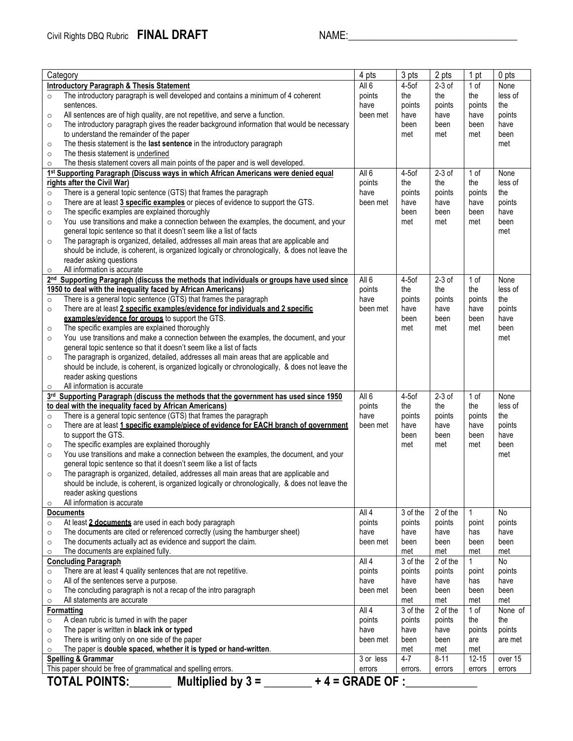| 4 pts<br>3 pts<br>2 pts<br>Category<br>1 pt                                                                  |                   |          | 0 <sub>pts</sub>    |                |                             |
|--------------------------------------------------------------------------------------------------------------|-------------------|----------|---------------------|----------------|-----------------------------|
| <b>Introductory Paragraph &amp; Thesis Statement</b>                                                         | All <sub>6</sub>  | $4-5$ of | $2-3$ of            | 1 of           | None                        |
| The introductory paragraph is well developed and contains a minimum of 4 coherent<br>$\circ$                 | points            | the      | the                 | the            | less of                     |
| sentences.                                                                                                   | have              | points   | points              | points         | the                         |
| All sentences are of high quality, are not repetitive, and serve a function.<br>$\circ$                      | been met          | have     | have                | have           | points                      |
| The introductory paragraph gives the reader background information that would be necessary<br>$\circ$        |                   | been     | been                | been           | have                        |
| to understand the remainder of the paper                                                                     |                   | met      | met                 | met            | been                        |
| The thesis statement is the last sentence in the introductory paragraph<br>$\circ$                           |                   |          |                     |                | met                         |
| The thesis statement is underlined<br>$\circ$                                                                |                   |          |                     |                |                             |
| The thesis statement covers all main points of the paper and is well developed.<br>$\circ$                   |                   |          |                     |                |                             |
| 1st Supporting Paragraph (Discuss ways in which African Americans were denied equal                          | All <sub>6</sub>  | $4-5$ of | $2-3$ of            | 1 of           | None                        |
| rights after the Civil War)                                                                                  | points            | the      | the                 | the            | less of                     |
| There is a general topic sentence (GTS) that frames the paragraph<br>$\circ$                                 | have              | points   | points              | points         | the                         |
| There are at least 3 specific examples or pieces of evidence to support the GTS.<br>$\circ$                  | been met          | have     | have                | have           | points                      |
| The specific examples are explained thoroughly                                                               |                   | been     | been                | been           | have                        |
| $\circ$<br>You use transitions and make a connection between the examples, the document, and your<br>$\circ$ |                   | met      | met                 | met            | been                        |
| general topic sentence so that it doesn't seem like a list of facts                                          |                   |          |                     |                | met                         |
| The paragraph is organized, detailed, addresses all main areas that are applicable and                       |                   |          |                     |                |                             |
| $\circ$                                                                                                      |                   |          |                     |                |                             |
| should be include, is coherent, is organized logically or chronologically, & does not leave the              |                   |          |                     |                |                             |
| reader asking questions<br>All information is accurate                                                       |                   |          |                     |                |                             |
| $\circ$<br>2nd Supporting Paragraph (discuss the methods that individuals or groups have used since          | All 6             | $4-5$ of | $2-3$ of            | 1 of           | None                        |
| 1950 to deal with the inequality faced by African Americans)                                                 | points            | the      | the                 | the            | less of                     |
|                                                                                                              | have              |          |                     |                | the                         |
| There is a general topic sentence (GTS) that frames the paragraph<br>$\circ$                                 |                   | points   | points              | points<br>have |                             |
| There are at least 2 specific examples/evidence for individuals and 2 specific<br>$\circ$                    | been met          | have     | have                |                | points                      |
| examples/evidence for groups to support the GTS.                                                             |                   | been     | been                | been           | have                        |
| The specific examples are explained thoroughly<br>$\circ$                                                    |                   | met      | met                 | met            | been                        |
| You use transitions and make a connection between the examples, the document, and your<br>$\circ$            |                   |          |                     |                | met                         |
| general topic sentence so that it doesn't seem like a list of facts                                          |                   |          |                     |                |                             |
| The paragraph is organized, detailed, addresses all main areas that are applicable and<br>$\circ$            |                   |          |                     |                |                             |
| should be include, is coherent, is organized logically or chronologically, & does not leave the              |                   |          |                     |                |                             |
| reader asking questions                                                                                      |                   |          |                     |                |                             |
| All information is accurate<br>$\circ$                                                                       |                   |          |                     |                |                             |
| 3rd Supporting Paragraph (discuss the methods that the government has used since 1950                        | All 6             | $4-5$ of | $2-3$ of            | 1 of           | None                        |
| to deal with the inequality faced by African Americans)                                                      | points            | the      | the                 | the            | less of                     |
| There is a general topic sentence (GTS) that frames the paragraph<br>$\circ$                                 | have              | points   | points              | points         | the                         |
| There are at least 1 specific example/piece of evidence for EACH branch of government<br>$\circ$             | been met          | have     | have                | have           | points                      |
| to support the GTS.                                                                                          |                   | been     | been                | been           | have                        |
| The specific examples are explained thoroughly<br>$\circ$                                                    |                   | met      | met                 | met            | been                        |
| You use transitions and make a connection between the examples, the document, and your<br>$\circ$            |                   |          |                     |                | met                         |
| general topic sentence so that it doesn't seem like a list of facts                                          |                   |          |                     |                |                             |
| The paragraph is organized, detailed, addresses all main areas that are applicable and<br>$\circ$            |                   |          |                     |                |                             |
| should be include, is coherent, is organized logically or chronologically, & does not leave the              |                   |          |                     |                |                             |
| reader asking questions                                                                                      |                   |          |                     |                |                             |
| All information is accurate<br>$\circ$                                                                       |                   |          |                     |                |                             |
| <b>Documents</b>                                                                                             | All 4             | 3 of the | 2 of the            | 1              | No                          |
| At least 2 documents are used in each body paragraph<br>$\circ$                                              | points            | points   | points              | point          | points                      |
| The documents are cited or referenced correctly (using the hamburger sheet)<br>$\circ$                       | have              | have     | have                | has            | have                        |
| The documents actually act as evidence and support the claim.<br>$\circ$                                     | been met          | been     | been                | been           | been                        |
| The documents are explained fully.<br>$\circ$                                                                |                   | met      | met                 | met            | met                         |
| <b>Concluding Paragraph</b>                                                                                  | All 4             | 3 of the | 2 of the            | $\mathbf{1}$   | No                          |
| There are at least 4 quality sentences that are not repetitive.<br>$\circ$                                   | points            | points   | points              | point          | points                      |
| All of the sentences serve a purpose.<br>$\circ$                                                             | have              | have     | have                | has            | have                        |
| The concluding paragraph is not a recap of the intro paragraph<br>$\circ$                                    | been met          | been     | been                | been           | been                        |
| All statements are accurate<br>$\circ$                                                                       |                   | met      | met                 | met            | met                         |
| Formatting                                                                                                   | All 4             | 3 of the | 2 of the            | 1 of           | $\overline{\text{None}}$ of |
| A clean rubric is turned in with the paper<br>$\circ$                                                        | points            | points   | points              | the            | the                         |
| The paper is written in black ink or typed<br>$\circ$                                                        | have              | have     | have                | points         | points                      |
| There is writing only on one side of the paper<br>$\circ$                                                    | been met          | been     | been                | are            | are met                     |
| The paper is double spaced, whether it is typed or hand-written.<br>$\circ$                                  |                   | met      | met                 | met            |                             |
| <b>Spelling &amp; Grammar</b>                                                                                | 3 or less         | $4 - 7$  | $\overline{8} - 11$ | $12 - 15$      | over 15                     |
| This paper should be free of grammatical and spelling errors.                                                | errors            | errors.  | errors              | errors         | errors                      |
| <b>TOTAL POINTS:</b><br>Multiplied by $3 =$                                                                  | $+4 =$ GRADE OF : |          |                     |                |                             |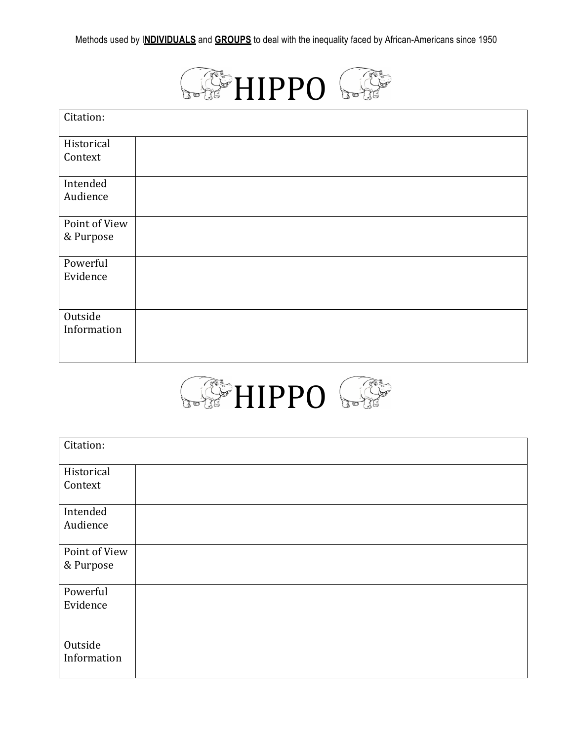

| Citation:     |  |
|---------------|--|
| Historical    |  |
| Context       |  |
| Intended      |  |
| Audience      |  |
| Point of View |  |
| & Purpose     |  |
| Powerful      |  |
| Evidence      |  |
|               |  |
| Outside       |  |
| Information   |  |
|               |  |



| Citation:              |  |
|------------------------|--|
| Historical             |  |
| Context                |  |
| Intended               |  |
| Audience               |  |
| Point of View          |  |
| & Purpose              |  |
| Powerful               |  |
| Evidence               |  |
|                        |  |
| Outside<br>Information |  |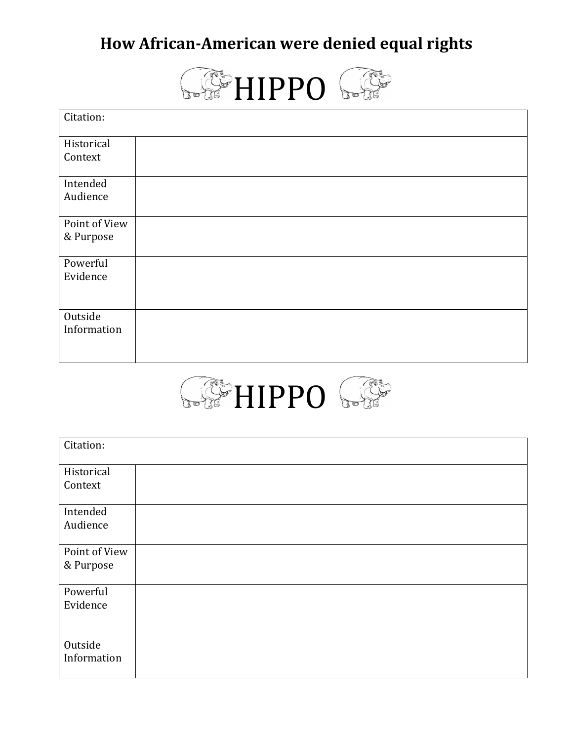# **How African-American were denied equal rights**



| Citation:     |  |
|---------------|--|
| Historical    |  |
| Context       |  |
| Intended      |  |
| Audience      |  |
| Point of View |  |
| & Purpose     |  |
| Powerful      |  |
| Evidence      |  |
|               |  |
| Outside       |  |
| Information   |  |
|               |  |



| Citation:     |  |
|---------------|--|
| Historical    |  |
| Context       |  |
|               |  |
| Intended      |  |
| Audience      |  |
|               |  |
| Point of View |  |
| & Purpose     |  |
|               |  |
| Powerful      |  |
| Evidence      |  |
|               |  |
|               |  |
| Outside       |  |
| Information   |  |
|               |  |